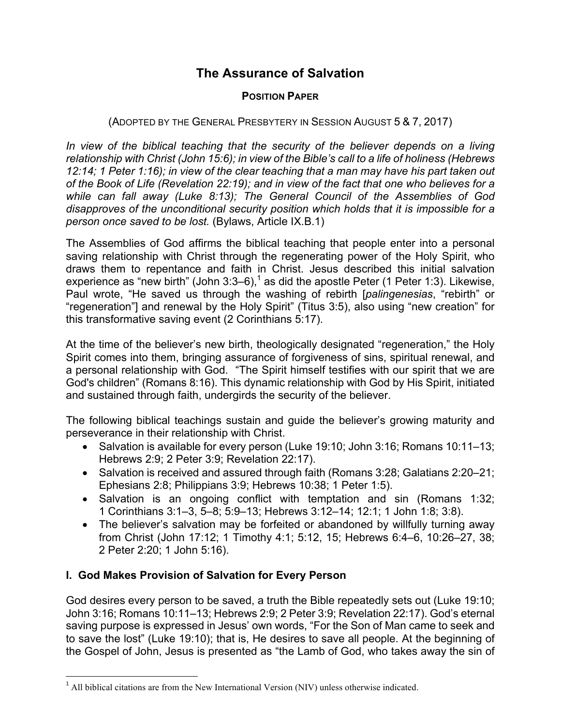# **The Assurance of Salvation**

### **POSITION PAPER**

### (ADOPTED BY THE GENERAL PRESBYTERY IN SESSION AUGUST 5 & 7, 2017)

In view of the biblical teaching that the security of the believer depends on a living *relationship with Christ (John 15:6); in view of the Bible's call to a life of holiness (Hebrews 12:14; 1 Peter 1:16); in view of the clear teaching that a man may have his part taken out of the Book of Life (Revelation 22:19); and in view of the fact that one who believes for a while can fall away (Luke 8:13); The General Council of the Assemblies of God disapproves of the unconditional security position which holds that it is impossible for a person once saved to be lost.* (Bylaws, Article IX.B.1)

The Assemblies of God affirms the biblical teaching that people enter into a personal saving relationship with Christ through the regenerating power of the Holy Spirit, who draws them to repentance and faith in Christ. Jesus described this initial salvation experience as "new birth" (John 3:3–6),<sup>1</sup> as did the apostle Peter (1 Peter 1:3). Likewise, Paul wrote, "He saved us through the washing of rebirth [*palingenesias*, "rebirth" or "regeneration"] and renewal by the Holy Spirit" (Titus 3:5), also using "new creation" for this transformative saving event (2 Corinthians 5:17).

At the time of the believer's new birth, theologically designated "regeneration," the Holy Spirit comes into them, bringing assurance of forgiveness of sins, spiritual renewal, and a personal relationship with God. "The Spirit himself testifies with our spirit that we are God's children" (Romans 8:16). This dynamic relationship with God by His Spirit, initiated and sustained through faith, undergirds the security of the believer.

The following biblical teachings sustain and guide the believer's growing maturity and perseverance in their relationship with Christ.

- Salvation is available for every person (Luke 19:10; John 3:16; Romans 10:11–13; Hebrews 2:9; 2 Peter 3:9; Revelation 22:17).
- Salvation is received and assured through faith (Romans 3:28; Galatians 2:20–21; Ephesians 2:8; Philippians 3:9; Hebrews 10:38; 1 Peter 1:5).
- Salvation is an ongoing conflict with temptation and sin (Romans 1:32; 1 Corinthians 3:1–3, 5–8; 5:9–13; Hebrews 3:12–14; 12:1; 1 John 1:8; 3:8).
- The believer's salvation may be forfeited or abandoned by willfully turning away from Christ (John 17:12; 1 Timothy 4:1; 5:12, 15; Hebrews 6:4–6, 10:26–27, 38; 2 Peter 2:20; 1 John 5:16).

## **I. God Makes Provision of Salvation for Every Person**

<u> 1989 - Johann Barn, mars ann an t-Amhain an t-Amhain an t-Amhain an t-Amhain an t-Amhain an t-Amhain an t-Amh</u>

God desires every person to be saved, a truth the Bible repeatedly sets out (Luke 19:10; John 3:16; Romans 10:11–13; Hebrews 2:9; 2 Peter 3:9; Revelation 22:17). God's eternal saving purpose is expressed in Jesus' own words, "For the Son of Man came to seek and to save the lost" (Luke 19:10); that is, He desires to save all people. At the beginning of the Gospel of John, Jesus is presented as "the Lamb of God, who takes away the sin of

<sup>&</sup>lt;sup>1</sup> All biblical citations are from the New International Version (NIV) unless otherwise indicated.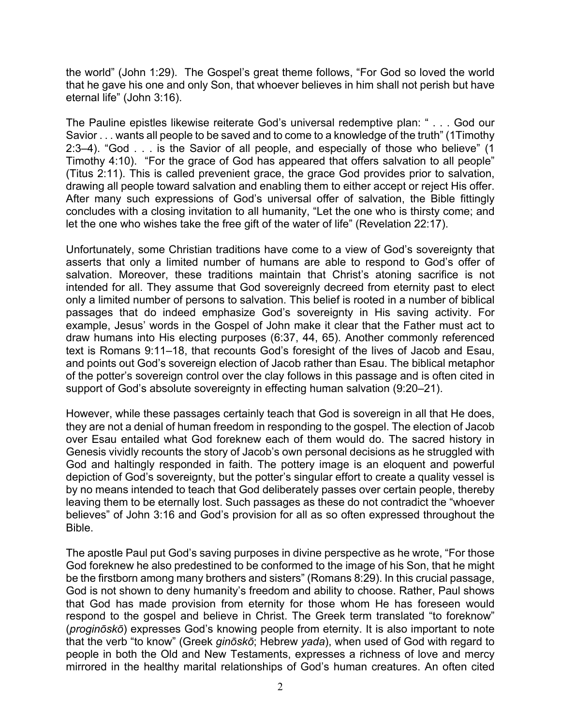the world" (John 1:29). The Gospel's great theme follows, "For God so loved the world that he gave his one and only Son, that whoever believes in him shall not perish but have eternal life" (John 3:16).

The Pauline epistles likewise reiterate God's universal redemptive plan: " . . . God our Savior . . . wants all people to be saved and to come to a knowledge of the truth" (1Timothy 2:3–4). "God . . . is the Savior of all people, and especially of those who believe" (1 Timothy 4:10). "For the grace of God has appeared that offers salvation to all people" (Titus 2:11). This is called prevenient grace, the grace God provides prior to salvation, drawing all people toward salvation and enabling them to either accept or reject His offer. After many such expressions of God's universal offer of salvation, the Bible fittingly concludes with a closing invitation to all humanity, "Let the one who is thirsty come; and let the one who wishes take the free gift of the water of life" (Revelation 22:17).

Unfortunately, some Christian traditions have come to a view of God's sovereignty that asserts that only a limited number of humans are able to respond to God's offer of salvation. Moreover, these traditions maintain that Christ's atoning sacrifice is not intended for all. They assume that God sovereignly decreed from eternity past to elect only a limited number of persons to salvation. This belief is rooted in a number of biblical passages that do indeed emphasize God's sovereignty in His saving activity. For example, Jesus' words in the Gospel of John make it clear that the Father must act to draw humans into His electing purposes (6:37, 44, 65). Another commonly referenced text is Romans 9:11–18, that recounts God's foresight of the lives of Jacob and Esau, and points out God's sovereign election of Jacob rather than Esau. The biblical metaphor of the potter's sovereign control over the clay follows in this passage and is often cited in support of God's absolute sovereignty in effecting human salvation (9:20–21).

However, while these passages certainly teach that God is sovereign in all that He does, they are not a denial of human freedom in responding to the gospel. The election of Jacob over Esau entailed what God foreknew each of them would do. The sacred history in Genesis vividly recounts the story of Jacob's own personal decisions as he struggled with God and haltingly responded in faith. The pottery image is an eloquent and powerful depiction of God's sovereignty, but the potter's singular effort to create a quality vessel is by no means intended to teach that God deliberately passes over certain people, thereby leaving them to be eternally lost. Such passages as these do not contradict the "whoever believes" of John 3:16 and God's provision for all as so often expressed throughout the Bible.

The apostle Paul put God's saving purposes in divine perspective as he wrote, "For those God foreknew he also predestined to be conformed to the image of his Son, that he might be the firstborn among many brothers and sisters" (Romans 8:29). In this crucial passage, God is not shown to deny humanity's freedom and ability to choose. Rather, Paul shows that God has made provision from eternity for those whom He has foreseen would respond to the gospel and believe in Christ. The Greek term translated "to foreknow" (*proginōskō*) expresses God's knowing people from eternity. It is also important to note that the verb "to know" (Greek *ginōskō*; Hebrew *yada*), when used of God with regard to people in both the Old and New Testaments, expresses a richness of love and mercy mirrored in the healthy marital relationships of God's human creatures. An often cited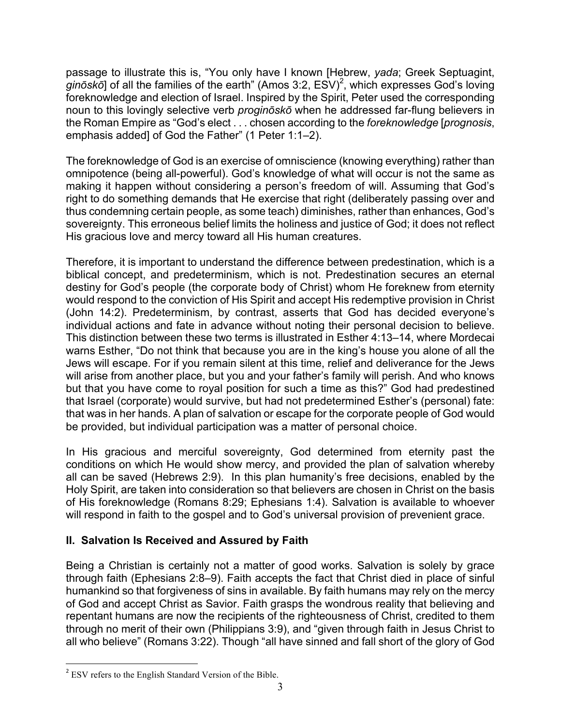passage to illustrate this is, "You only have I known [Hebrew, *yada*; Greek Septuagint, *ginōskō*] of all the families of the earth" (Amos 3:2, ESV)<sup>2</sup>, which expresses God's loving foreknowledge and election of Israel. Inspired by the Spirit, Peter used the corresponding noun to this lovingly selective verb *proginōskō* when he addressed far-flung believers in the Roman Empire as "God's elect . . . chosen according to the *foreknowledge* [*prognosis*, emphasis added] of God the Father" (1 Peter 1:1–2).

The foreknowledge of God is an exercise of omniscience (knowing everything) rather than omnipotence (being all-powerful). God's knowledge of what will occur is not the same as making it happen without considering a person's freedom of will. Assuming that God's right to do something demands that He exercise that right (deliberately passing over and thus condemning certain people, as some teach) diminishes, rather than enhances, God's sovereignty. This erroneous belief limits the holiness and justice of God; it does not reflect His gracious love and mercy toward all His human creatures.

Therefore, it is important to understand the difference between predestination, which is a biblical concept, and predeterminism, which is not. Predestination secures an eternal destiny for God's people (the corporate body of Christ) whom He foreknew from eternity would respond to the conviction of His Spirit and accept His redemptive provision in Christ (John 14:2). Predeterminism, by contrast, asserts that God has decided everyone's individual actions and fate in advance without noting their personal decision to believe. This distinction between these two terms is illustrated in Esther 4:13–14, where Mordecai warns Esther, "Do not think that because you are in the king's house you alone of all the Jews will escape. For if you remain silent at this time, relief and deliverance for the Jews will arise from another place, but you and your father's family will perish. And who knows but that you have come to royal position for such a time as this?" God had predestined that Israel (corporate) would survive, but had not predetermined Esther's (personal) fate: that was in her hands. A plan of salvation or escape for the corporate people of God would be provided, but individual participation was a matter of personal choice.

In His gracious and merciful sovereignty, God determined from eternity past the conditions on which He would show mercy, and provided the plan of salvation whereby all can be saved (Hebrews 2:9). In this plan humanity's free decisions, enabled by the Holy Spirit, are taken into consideration so that believers are chosen in Christ on the basis of His foreknowledge (Romans 8:29; Ephesians 1:4). Salvation is available to whoever will respond in faith to the gospel and to God's universal provision of prevenient grace.

# **II. Salvation Is Received and Assured by Faith**

Being a Christian is certainly not a matter of good works. Salvation is solely by grace through faith (Ephesians 2:8–9). Faith accepts the fact that Christ died in place of sinful humankind so that forgiveness of sins in available. By faith humans may rely on the mercy of God and accept Christ as Savior. Faith grasps the wondrous reality that believing and repentant humans are now the recipients of the righteousness of Christ, credited to them through no merit of their own (Philippians 3:9), and "given through faith in Jesus Christ to all who believe" (Romans 3:22). Though "all have sinned and fall short of the glory of God

 

<sup>&</sup>lt;sup>2</sup> ESV refers to the English Standard Version of the Bible.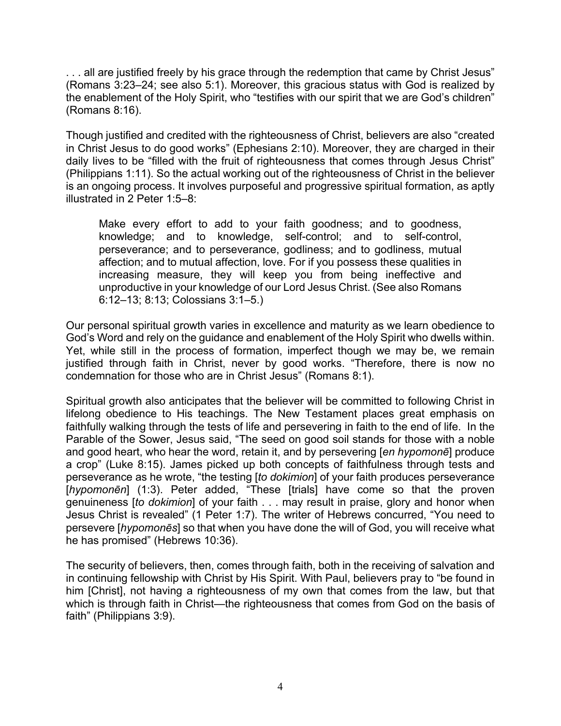. . . all are justified freely by his grace through the redemption that came by Christ Jesus" (Romans 3:23–24; see also 5:1). Moreover, this gracious status with God is realized by the enablement of the Holy Spirit, who "testifies with our spirit that we are God's children" (Romans 8:16).

Though justified and credited with the righteousness of Christ, believers are also "created in Christ Jesus to do good works" (Ephesians 2:10). Moreover, they are charged in their daily lives to be "filled with the fruit of righteousness that comes through Jesus Christ" (Philippians 1:11). So the actual working out of the righteousness of Christ in the believer is an ongoing process. It involves purposeful and progressive spiritual formation, as aptly illustrated in 2 Peter 1:5–8:

Make every effort to add to your faith goodness; and to goodness, knowledge; and to knowledge, self-control; and to self-control, perseverance; and to perseverance, godliness; and to godliness, mutual affection; and to mutual affection, love. For if you possess these qualities in increasing measure, they will keep you from being ineffective and unproductive in your knowledge of our Lord Jesus Christ. (See also Romans 6:12–13; 8:13; Colossians 3:1–5.)

Our personal spiritual growth varies in excellence and maturity as we learn obedience to God's Word and rely on the guidance and enablement of the Holy Spirit who dwells within. Yet, while still in the process of formation, imperfect though we may be, we remain justified through faith in Christ, never by good works. "Therefore, there is now no condemnation for those who are in Christ Jesus" (Romans 8:1).

Spiritual growth also anticipates that the believer will be committed to following Christ in lifelong obedience to His teachings. The New Testament places great emphasis on faithfully walking through the tests of life and persevering in faith to the end of life. In the Parable of the Sower, Jesus said, "The seed on good soil stands for those with a noble and good heart, who hear the word, retain it, and by persevering [*en hypomonē*] produce a crop" (Luke 8:15). James picked up both concepts of faithfulness through tests and perseverance as he wrote, "the testing [*to dokimion*] of your faith produces perseverance [*hypomonēn*] (1:3). Peter added, "These [trials] have come so that the proven genuineness [*to dokimion*] of your faith . . . may result in praise, glory and honor when Jesus Christ is revealed" (1 Peter 1:7). The writer of Hebrews concurred, "You need to persevere [*hypomonēs*] so that when you have done the will of God, you will receive what he has promised" (Hebrews 10:36).

The security of believers, then, comes through faith, both in the receiving of salvation and in continuing fellowship with Christ by His Spirit. With Paul, believers pray to "be found in him [Christ], not having a righteousness of my own that comes from the law, but that which is through faith in Christ—the righteousness that comes from God on the basis of faith" (Philippians 3:9).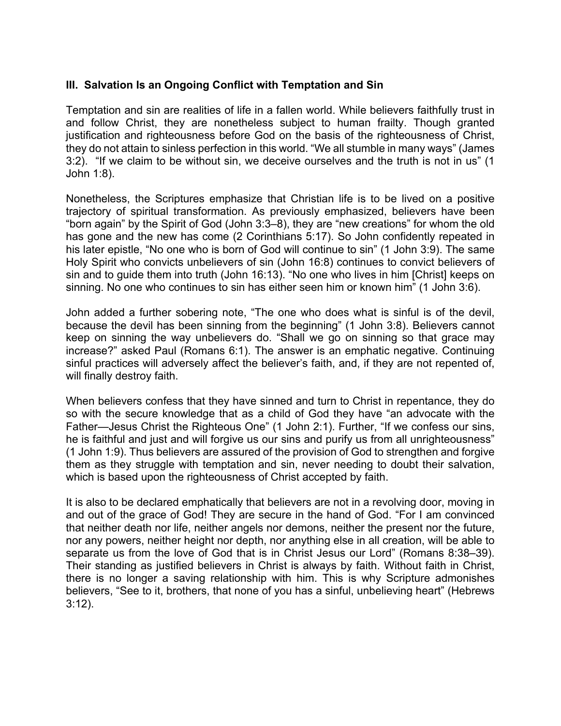### **III. Salvation Is an Ongoing Conflict with Temptation and Sin**

Temptation and sin are realities of life in a fallen world. While believers faithfully trust in and follow Christ, they are nonetheless subject to human frailty. Though granted justification and righteousness before God on the basis of the righteousness of Christ, they do not attain to sinless perfection in this world. "We all stumble in many ways" (James 3:2). "If we claim to be without sin, we deceive ourselves and the truth is not in us" (1 John 1:8).

Nonetheless, the Scriptures emphasize that Christian life is to be lived on a positive trajectory of spiritual transformation. As previously emphasized, believers have been "born again" by the Spirit of God (John 3:3–8), they are "new creations" for whom the old has gone and the new has come (2 Corinthians 5:17). So John confidently repeated in his later epistle, "No one who is born of God will continue to sin" (1 John 3:9). The same Holy Spirit who convicts unbelievers of sin (John 16:8) continues to convict believers of sin and to guide them into truth (John 16:13). "No one who lives in him [Christ] keeps on sinning. No one who continues to sin has either seen him or known him" (1 John 3:6).

John added a further sobering note, "The one who does what is sinful is of the devil, because the devil has been sinning from the beginning" (1 John 3:8). Believers cannot keep on sinning the way unbelievers do. "Shall we go on sinning so that grace may increase?" asked Paul (Romans 6:1). The answer is an emphatic negative. Continuing sinful practices will adversely affect the believer's faith, and, if they are not repented of, will finally destroy faith.

When believers confess that they have sinned and turn to Christ in repentance, they do so with the secure knowledge that as a child of God they have "an advocate with the Father—Jesus Christ the Righteous One" (1 John 2:1). Further, "If we confess our sins, he is faithful and just and will forgive us our sins and purify us from all unrighteousness" (1 John 1:9). Thus believers are assured of the provision of God to strengthen and forgive them as they struggle with temptation and sin, never needing to doubt their salvation, which is based upon the righteousness of Christ accepted by faith.

It is also to be declared emphatically that believers are not in a revolving door, moving in and out of the grace of God! They are secure in the hand of God. "For I am convinced that neither death nor life, neither angels nor demons, neither the present nor the future, nor any powers, neither height nor depth, nor anything else in all creation, will be able to separate us from the love of God that is in Christ Jesus our Lord" (Romans 8:38–39). Their standing as justified believers in Christ is always by faith. Without faith in Christ, there is no longer a saving relationship with him. This is why Scripture admonishes believers, "See to it, brothers, that none of you has a sinful, unbelieving heart" (Hebrews 3:12).